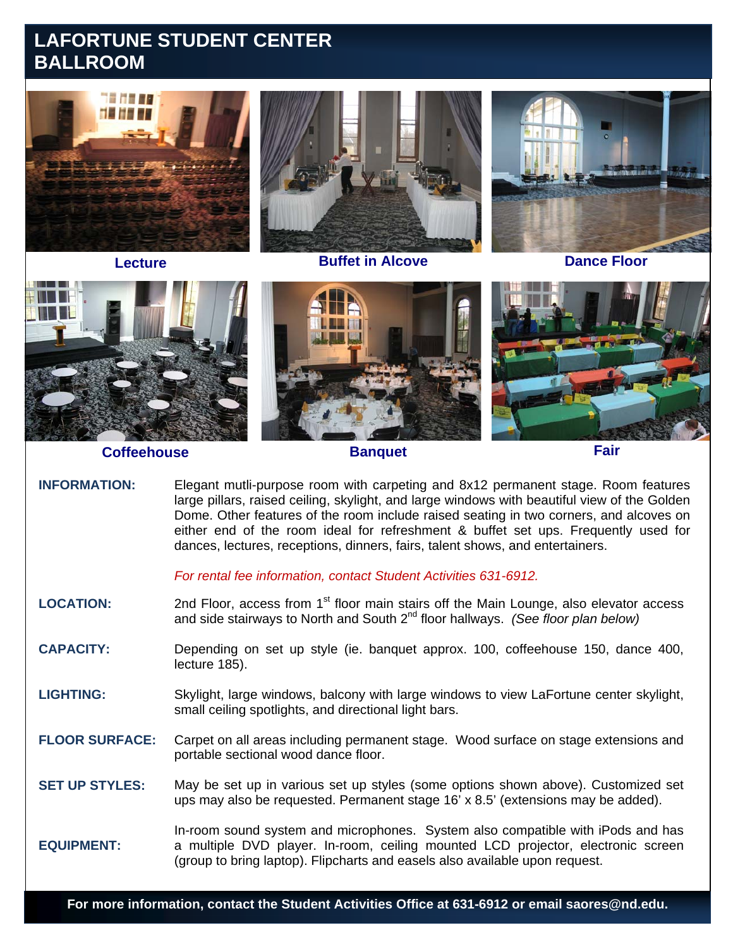## **LAFORTUNE STUDENT CENTER BALLROOM**





**Coffeehouse Banquet Banquet Fair** 

**INFORMATION:** Elegant mutli-purpose room with carpeting and 8x12 permanent stage. Room features large pillars, raised ceiling, skylight, and large windows with beautiful view of the Golden Dome. Other features of the room include raised seating in two corners, and alcoves on either end of the room ideal for refreshment & buffet set ups. Frequently used for dances, lectures, receptions, dinners, fairs, talent shows, and entertainers.

*For rental fee information, contact Student Activities 631-6912.*

LOCATION: 2nd Floor, access from 1<sup>st</sup> floor main stairs off the Main Lounge, also elevator access and side stairways to North and South 2nd floor hallways. *(See floor plan below)*

**CAPACITY:** Depending on set up style (ie. banquet approx. 100, coffeehouse 150, dance 400, lecture 185).

**LIGHTING:** Skylight, large windows, balcony with large windows to view LaFortune center skylight, small ceiling spotlights, and directional light bars.

**FLOOR SURFACE:** Carpet on all areas including permanent stage. Wood surface on stage extensions and portable sectional wood dance floor.

**SET UP STYLES:**  May be set up in various set up styles (some options shown above). Customized set ups may also be requested. Permanent stage 16' x 8.5' (extensions may be added).

**EQUIPMENT:**  In-room sound system and microphones. System also compatible with iPods and has a multiple DVD player. In-room, ceiling mounted LCD projector, electronic screen (group to bring laptop). Flipcharts and easels also available upon request.